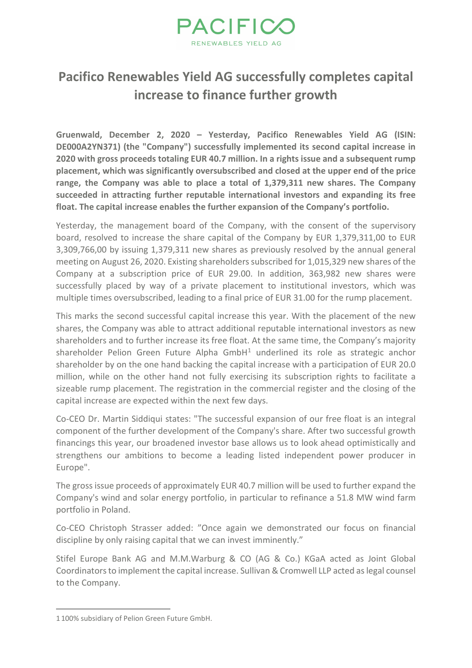

## **Pacifico Renewables Yield AG successfully completes capital increase to finance further growth**

**Gruenwald, December 2, 2020 – Yesterday, Pacifico Renewables Yield AG (ISIN: DE000A2YN371) (the "Company") successfully implemented its second capital increase in 2020 with gross proceeds totaling EUR 40.7 million. In a rights issue and a subsequent rump placement, which was significantly oversubscribed and closed at the upper end of the price range, the Company was able to place a total of 1,379,311 new shares. The Company succeeded in attracting further reputable international investors and expanding its free float. The capital increase enables the further expansion of the Company's portfolio.**

Yesterday, the management board of the Company, with the consent of the supervisory board, resolved to increase the share capital of the Company by EUR 1,379,311,00 to EUR 3,309,766,00 by issuing 1,379,311 new shares as previously resolved by the annual general meeting on August 26, 2020. Existing shareholders subscribed for 1,015,329 new shares of the Company at a subscription price of EUR 29.00. In addition, 363,982 new shares were successfully placed by way of a private placement to institutional investors, which was multiple times oversubscribed, leading to a final price of EUR 31.00 for the rump placement.

This marks the second successful capital increase this year. With the placement of the new shares, the Company was able to attract additional reputable international investors as new shareholders and to further increase its free float. At the same time, the Company's majority shareholder Pelion Green Future Alpha GmbH $<sup>1</sup>$  $<sup>1</sup>$  $<sup>1</sup>$  underlined its role as strategic anchor</sup> shareholder by on the one hand backing the capital increase with a participation of EUR 20.0 million, while on the other hand not fully exercising its subscription rights to facilitate a sizeable rump placement. The registration in the commercial register and the closing of the capital increase are expected within the next few days.

Co-CEO Dr. Martin Siddiqui states: "The successful expansion of our free float is an integral component of the further development of the Company's share. After two successful growth financings this year, our broadened investor base allows us to look ahead optimistically and strengthens our ambitions to become a leading listed independent power producer in Europe".

The gross issue proceeds of approximately EUR 40.7 million will be used to further expand the Company's wind and solar energy portfolio, in particular to refinance a 51.8 MW wind farm portfolio in Poland.

Co-CEO Christoph Strasser added: "Once again we demonstrated our focus on financial discipline by only raising capital that we can invest imminently."

Stifel Europe Bank AG and M.M.Warburg & CO (AG & Co.) KGaA acted as Joint Global Coordinators to implement the capital increase. Sullivan & Cromwell LLP acted as legal counsel to the Company.

<span id="page-0-0"></span><sup>1</sup> 100% subsidiary of Pelion Green Future GmbH.